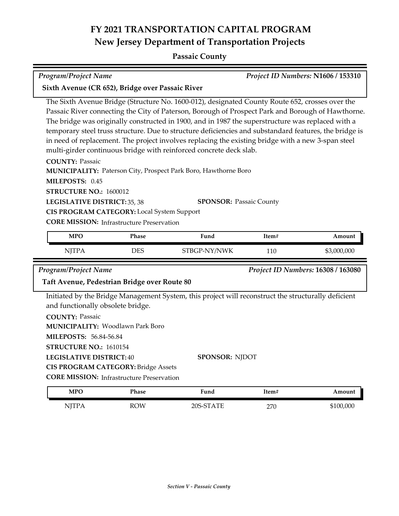### **Passaic County**

| Project ID Numbers: N1606 / 153310<br><b>Program/Project Name</b>                                      |                                                                                                 |       |                                           |  |  |
|--------------------------------------------------------------------------------------------------------|-------------------------------------------------------------------------------------------------|-------|-------------------------------------------|--|--|
| Sixth Avenue (CR 652), Bridge over Passaic River                                                       |                                                                                                 |       |                                           |  |  |
|                                                                                                        | The Sixth Avenue Bridge (Structure No. 1600-012), designated County Route 652, crosses over the |       |                                           |  |  |
| Passaic River connecting the City of Paterson, Borough of Prospect Park and Borough of Hawthorne.      |                                                                                                 |       |                                           |  |  |
| The bridge was originally constructed in 1900, and in 1987 the superstructure was replaced with a      |                                                                                                 |       |                                           |  |  |
| temporary steel truss structure. Due to structure deficiencies and substandard features, the bridge is |                                                                                                 |       |                                           |  |  |
| in need of replacement. The project involves replacing the existing bridge with a new 3-span steel     |                                                                                                 |       |                                           |  |  |
| multi-girder continuous bridge with reinforced concrete deck slab.                                     |                                                                                                 |       |                                           |  |  |
| <b>COUNTY: Passaic</b>                                                                                 |                                                                                                 |       |                                           |  |  |
| MUNICIPALITY: Paterson City, Prospect Park Boro, Hawthorne Boro                                        |                                                                                                 |       |                                           |  |  |
| MILEPOSTS: 0.45                                                                                        |                                                                                                 |       |                                           |  |  |
| <b>STRUCTURE NO.: 1600012</b>                                                                          |                                                                                                 |       |                                           |  |  |
| LEGISLATIVE DISTRICT: 35, 38                                                                           | <b>SPONSOR: Passaic County</b>                                                                  |       |                                           |  |  |
| CIS PROGRAM CATEGORY: Local System Support                                                             |                                                                                                 |       |                                           |  |  |
| <b>CORE MISSION:</b> Infrastructure Preservation                                                       |                                                                                                 |       |                                           |  |  |
| <b>MPO</b><br><b>Phase</b>                                                                             | Fund                                                                                            | Item# | Amount                                    |  |  |
| <b>NJTPA</b><br><b>DES</b>                                                                             | STBGP-NY/NWK                                                                                    | 110   | \$3,000,000                               |  |  |
| <b>Program/Project Name</b>                                                                            |                                                                                                 |       | <b>Project ID Numbers: 16308 / 163080</b> |  |  |

#### **Taft Avenue, Pedestrian Bridge over Route 80**

Initiated by the Bridge Management System, this project will reconstruct the structurally deficient and functionally obsolete bridge.

**COUNTY:** Passaic

Woodlawn Park Boro **MUNICIPALITY:**

**MILEPOSTS:** 56.84-56.84

**STRUCTURE NO.:** 1610154

**LEGISLATIVE DISTRICT:** 40

**CIS PROGRAM CATEGORY:** Bridge Assets

**CORE MISSION:** Infrastructure Preservation

| MPO          | Phase      | Fund      | Item# | Amount    |
|--------------|------------|-----------|-------|-----------|
| <b>NJTPA</b> | <b>ROW</b> | 20S-STATE | 270   | \$100,000 |

**SPONSOR:** NJDOT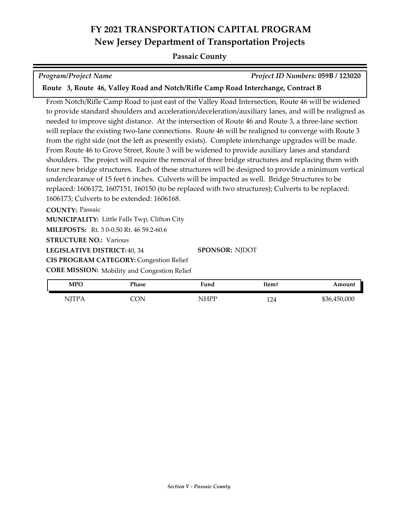#### **Passaic County**

*Program/Project Name Project ID Numbers:* **059B / 123020**

**Route 3, Route 46, Valley Road and Notch/Rifle Camp Road Interchange, Contract B**

From Notch/Rifle Camp Road to just east of the Valley Road Intersection, Route 46 will be widened to provide standard shoulders and acceleration/deceleration/auxiliary lanes, and will be realigned as needed to improve sight distance. At the intersection of Route 46 and Route 3, a three-lane section will replace the existing two-lane connections. Route 46 will be realigned to converge with Route 3 from the right side (not the left as presently exists). Complete interchange upgrades will be made. From Route 46 to Grove Street, Route 3 will be widened to provide auxiliary lanes and standard shoulders. The project will require the removal of three bridge structures and replacing them with four new bridge structures. Each of these structures will be designed to provide a minimum vertical underclearance of 15 feet 6 inches. Culverts will be impacted as well. Bridge Structures to be replaced: 1606172, 1607151, 160150 (to be replaced with two structures); Culverts to be replaced: 1606173; Culverts to be extended: 1606168.

**COUNTY:** Passaic

**MUNICIPALITY:** Little Falls Twp, Clifton City

**MILEPOSTS:** Rt. 3 0-0.50 Rt. 46 59.2-60.6

**STRUCTURE NO.: Various** 

**LEGISLATIVE DISTRICT:** 40, 34

**CIS PROGRAM CATEGORY:** Congestion Relief

**CORE MISSION:** Mobility and Congestion Relief

| <b>MPO</b>   | Phase | Fund | Item# | Amount       |
|--------------|-------|------|-------|--------------|
| <b>NJTPA</b> | CON   | NHPP | 124   | \$36,450,000 |

**SPONSOR:** NJDOT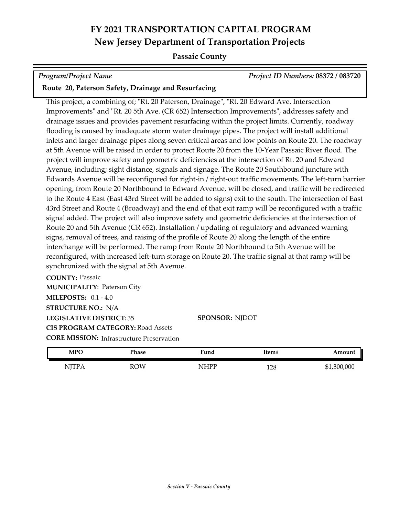### **Passaic County**

*Program/Project Name Project ID Numbers:* **08372 / 083720**

#### **Route 20, Paterson Safety, Drainage and Resurfacing**

This project, a combining of; "Rt. 20 Paterson, Drainage", "Rt. 20 Edward Ave. Intersection Improvements" and "Rt. 20 5th Ave. (CR 652) Intersection Improvements", addresses safety and drainage issues and provides pavement resurfacing within the project limits. Currently, roadway flooding is caused by inadequate storm water drainage pipes. The project will install additional inlets and larger drainage pipes along seven critical areas and low points on Route 20. The roadway at 5th Avenue will be raised in order to protect Route 20 from the 10-Year Passaic River flood. The project will improve safety and geometric deficiencies at the intersection of Rt. 20 and Edward Avenue, including; sight distance, signals and signage. The Route 20 Southbound juncture with Edwards Avenue will be reconfigured for right-in / right-out traffic movements. The left-turn barrier opening, from Route 20 Northbound to Edward Avenue, will be closed, and traffic will be redirected to the Route 4 East (East 43rd Street will be added to signs) exit to the south. The intersection of East 43rd Street and Route 4 (Broadway) and the end of that exit ramp will be reconfigured with a traffic signal added. The project will also improve safety and geometric deficiencies at the intersection of Route 20 and 5th Avenue (CR 652). Installation / updating of regulatory and advanced warning signs, removal of trees, and raising of the profile of Route 20 along the length of the entire interchange will be performed. The ramp from Route 20 Northbound to 5th Avenue will be reconfigured, with increased left-turn storage on Route 20. The traffic signal at that ramp will be synchronized with the signal at 5th Avenue.

**COUNTY:** Passaic **LEGISLATIVE DISTRICT:** 35 **MILEPOSTS:** 0.1 - 4.0 **STRUCTURE NO.:** N/A **MUNICIPALITY: Paterson City CORE MISSION:** Infrastructure Preservation **CIS PROGRAM CATEGORY:** Road Assets

#### **SPONSOR:** NJDOT

| <b>MPO</b>                        | Phase      | Fund        | Item#        | Amount      |
|-----------------------------------|------------|-------------|--------------|-------------|
| NITP 4<br><b>TTTT</b><br><b>.</b> | <b>ROW</b> | <b>NHPP</b> | 1 7 Q<br>⊥∠∪ | \$1,300,000 |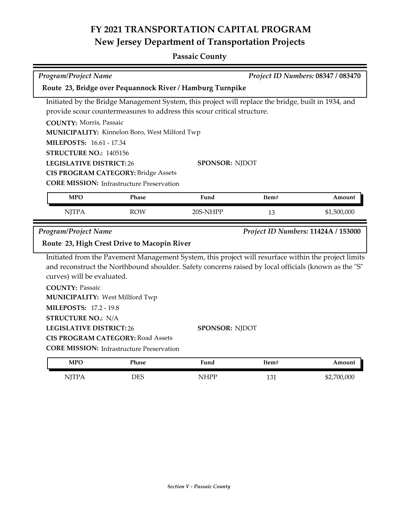## **Passaic County**

| Program/Project Name                                                                                | Project ID Numbers: 08347 / 083470                      |                                                                                                      |       |             |  |  |
|-----------------------------------------------------------------------------------------------------|---------------------------------------------------------|------------------------------------------------------------------------------------------------------|-------|-------------|--|--|
| Route 23, Bridge over Pequannock River / Hamburg Turnpike                                           |                                                         |                                                                                                      |       |             |  |  |
| Initiated by the Bridge Management System, this project will replace the bridge, built in 1934, and |                                                         |                                                                                                      |       |             |  |  |
|                                                                                                     |                                                         | provide scour countermeasures to address this scour critical structure.                              |       |             |  |  |
| <b>COUNTY: Morris, Passaic</b>                                                                      |                                                         |                                                                                                      |       |             |  |  |
|                                                                                                     | MUNICIPALITY: Kinnelon Boro, West Milford Twp           |                                                                                                      |       |             |  |  |
| <b>MILEPOSTS: 16.61 - 17.34</b>                                                                     |                                                         |                                                                                                      |       |             |  |  |
| STRUCTURE NO.: 1405156                                                                              |                                                         |                                                                                                      |       |             |  |  |
| <b>LEGISLATIVE DISTRICT:26</b>                                                                      |                                                         | <b>SPONSOR: NJDOT</b>                                                                                |       |             |  |  |
|                                                                                                     | <b>CIS PROGRAM CATEGORY: Bridge Assets</b>              |                                                                                                      |       |             |  |  |
|                                                                                                     | <b>CORE MISSION:</b> Infrastructure Preservation        |                                                                                                      |       |             |  |  |
| <b>MPO</b>                                                                                          | Phase                                                   | Fund                                                                                                 | Item# | Amount      |  |  |
| <b>NJTPA</b>                                                                                        | <b>ROW</b>                                              | 20S-NHPP                                                                                             | 13    | \$1,500,000 |  |  |
| Program/Project Name<br>Project ID Numbers: 11424A / 153000                                         |                                                         |                                                                                                      |       |             |  |  |
|                                                                                                     | Route 23, High Crest Drive to Macopin River             |                                                                                                      |       |             |  |  |
|                                                                                                     |                                                         | Initiated from the Pavement Management System, this project will resurface within the project limits |       |             |  |  |
|                                                                                                     |                                                         | and reconstruct the Northbound shoulder. Safety concerns raised by local officials (known as the "S" |       |             |  |  |
| curves) will be evaluated.                                                                          |                                                         |                                                                                                      |       |             |  |  |
| <b>COUNTY: Passaic</b>                                                                              |                                                         |                                                                                                      |       |             |  |  |
| <b>MUNICIPALITY: West Millford Twp</b>                                                              |                                                         |                                                                                                      |       |             |  |  |
| <b>MILEPOSTS: 17.2 - 19.8</b>                                                                       |                                                         |                                                                                                      |       |             |  |  |
| <b>STRUCTURE NO.: N/A</b>                                                                           |                                                         |                                                                                                      |       |             |  |  |
|                                                                                                     | <b>LEGISLATIVE DISTRICT:26</b><br><b>SPONSOR: NJDOT</b> |                                                                                                      |       |             |  |  |
|                                                                                                     | <b>CIS PROGRAM CATEGORY: Road Assets</b>                |                                                                                                      |       |             |  |  |
|                                                                                                     | <b>CORE MISSION:</b> Infrastructure Preservation        |                                                                                                      |       |             |  |  |
| <b>MPO</b>                                                                                          | Phase                                                   | Fund                                                                                                 | Item# | Amount      |  |  |
| <b>NJTPA</b>                                                                                        | <b>DES</b>                                              | <b>NHPP</b>                                                                                          | 131   | \$2,700,000 |  |  |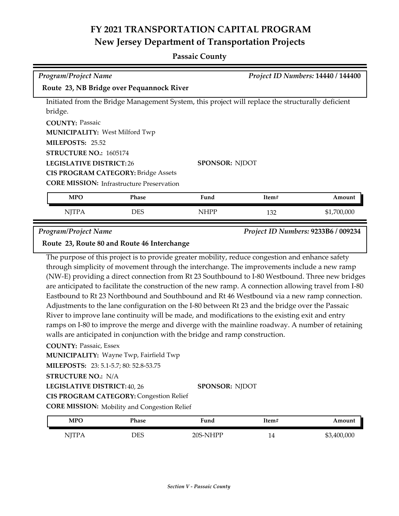### **Passaic County**

| <b>Program/Project Name</b>                                                                       |                       | Project ID Numbers: 14440 / 144400 |        |
|---------------------------------------------------------------------------------------------------|-----------------------|------------------------------------|--------|
| Route 23, NB Bridge over Pequannock River                                                         |                       |                                    |        |
| Initiated from the Bridge Management System, this project will replace the structurally deficient |                       |                                    |        |
| bridge.                                                                                           |                       |                                    |        |
| <b>COUNTY: Passaic</b>                                                                            |                       |                                    |        |
| <b>MUNICIPALITY: West Milford Twp</b>                                                             |                       |                                    |        |
| <b>MILEPOSTS: 25.52</b>                                                                           |                       |                                    |        |
| <b>STRUCTURE NO.: 1605174</b>                                                                     |                       |                                    |        |
| <b>LEGISLATIVE DISTRICT: 26</b>                                                                   | <b>SPONSOR: NIDOT</b> |                                    |        |
| <b>CIS PROGRAM CATEGORY: Bridge Assets</b>                                                        |                       |                                    |        |
| <b>CORE MISSION:</b> Infrastructure Preservation                                                  |                       |                                    |        |
| <b>MPO</b><br><b>Phase</b>                                                                        | Fund                  | Item#                              | Amount |

*Program/Project Name Project ID Numbers:* **9233B6 / 009234**

#### **Route 23, Route 80 and Route 46 Interchange**

The purpose of this project is to provide greater mobility, reduce congestion and enhance safety through simplicity of movement through the interchange. The improvements include a new ramp (NW-E) providing a direct connection from Rt 23 Southbound to I-80 Westbound. Three new bridges are anticipated to facilitate the construction of the new ramp. A connection allowing travel from I-80 Eastbound to Rt 23 Northbound and Southbound and Rt 46 Westbound via a new ramp connection. Adjustments to the lane configuration on the I-80 between Rt 23 and the bridge over the Passaic River to improve lane continuity will be made, and modifications to the existing exit and entry ramps on I-80 to improve the merge and diverge with the mainline roadway. A number of retaining walls are anticipated in conjunction with the bridge and ramp construction.

NJTPA DES NHPP 132 \$1,700,000

**COUNTY:** Passaic, Essex

**MUNICIPALITY: Wayne Twp, Fairfield Twp** 

**MILEPOSTS:** 23: 5.1-5.7; 80: 52.8-53.75

**STRUCTURE NO.:** N/A

**LEGISLATIVE DISTRICT:** 40, 26 **SPONSOR:** NJDOT

**CIS PROGRAM CATEGORY:** Congestion Relief

**CORE MISSION:** Mobility and Congestion Relief

| <b>MPO</b>                | Phase | Fund     | item#   | Amount      |
|---------------------------|-------|----------|---------|-------------|
| <b>NJTPA</b><br>, 1 1 1 1 | DES   | 20S-NHPP | -<br>14 | \$3,400,000 |